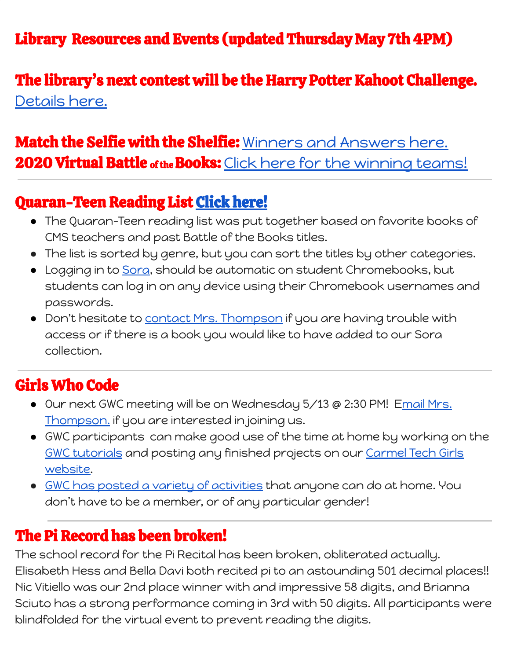## The library's next contest will be the Harry Potter Kahoot Challenge. [Details](https://docs.google.com/document/d/1VApqRJ0vYSRoUKA_2WNIVQ6GBHQKJn54G93ZWZXORFc/edit?usp=sharing) here.

## Match the Selfie with the Shelfie: Winners and [Answers](https://docs.google.com/document/d/1IE2fiwk5IXIPsc6X-B9Lo3BiiSry9o7lfFSjxFRDWu4/edit?usp=sharing) here. 2020 Virtual Battle of the Books: Click here for the [winning](https://docs.google.com/document/d/13A4DoWeP3ZY5AMMQLn9VSu2pRYDf40z1WBpaGRJzTCk/edit?usp=sharing) teams!

#### Quaran-Teen Reading List Click [here!](https://docs.google.com/spreadsheets/d/1JOIQLGGDx_s7XHLze2z1PiNXWOde04M48_fdJkNQ3kI/edit?usp=sharing)

- The Quaran-Teen reading list was put together based on favorite books of CMS teachers and past Battle of the Books titles.
- The list is sorted by genre, but you can sort the titles by other categories.
- Logging in to [Sora,](https://soraapp.com/library/carmelca) should be automatic on student Chromebooks, but students can log in on any device using their Chromebook usernames and passwords.
- Don't hesitate to contact Mrs. [Thompson](mailto:sthompson@carmelunified.org) if you are having trouble with access or if there is a book you would like to have added to our Sora collection.

# Girls Who Code

- Our next GWC meeting will be on Wednesday 5/13 @ 2:30 PM! Email [Mrs.](mailto:sthompson@carmelunified.org) [Thompson.](mailto:sthompson@carmelunified.org) if you are interested in joining us.
- GWC participants can make good use of the time at home by working on the GWC [tutorials](https://hq.girlswhocode.com/gwc#collection/clubs-learn) and posting any finished projects on our [Carmel](https://carmeltechgirls.weebly.com/) Tech Girls [website](https://carmeltechgirls.weebly.com/).
- GWC has posted a variety of [activities](https://girlswhocode.com/code-at-home/) that anyone can do at home. You don't have to be a member, or of any particular gender!

### The Pi Record has been broken!

The school record for the Pi Recital has been broken, obliterated actually. Elisabeth Hess and Bella Davi both recited pi to an astounding 501 decimal places!! Nic Vitiello was our 2nd place winner with and impressive 58 digits, and Brianna Sciuto has a strong performance coming in 3rd with 50 digits. All participants were blindfolded for the virtual event to prevent reading the digits.